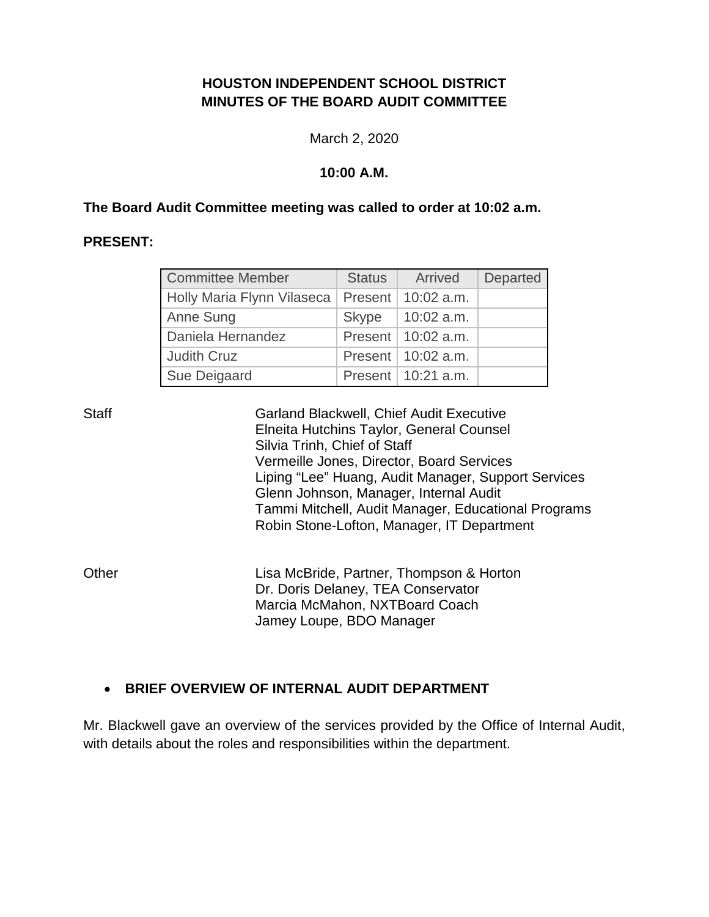# **HOUSTON INDEPENDENT SCHOOL DISTRICT MINUTES OF THE BOARD AUDIT COMMITTEE**

March 2, 2020

#### **10:00 A.M.**

#### **The Board Audit Committee meeting was called to order at 10:02 a.m.**

### **PRESENT:**

| <b>Committee Member</b>    | <b>Status</b> | Arrived                | <b>Departed</b> |
|----------------------------|---------------|------------------------|-----------------|
| Holly Maria Flynn Vilaseca | Present       | $10:02$ a.m.           |                 |
| Anne Sung                  |               | Skype   10:02 a.m.     |                 |
| Daniela Hernandez          |               | Present   $10:02$ a.m. |                 |
| <b>Judith Cruz</b>         |               | Present   $10:02$ a.m. |                 |
| Sue Deigaard               |               | Present   10:21 a.m.   |                 |

Staff Garland Blackwell, Chief Audit Executive Elneita Hutchins Taylor, General Counsel Silvia Trinh, Chief of Staff Vermeille Jones, Director, Board Services Liping "Lee" Huang, Audit Manager, Support Services Glenn Johnson, Manager, Internal Audit Tammi Mitchell, Audit Manager, Educational Programs Robin Stone-Lofton, Manager, IT Department

Other **Lisa McBride, Partner, Thompson & Horton** Dr. Doris Delaney, TEA Conservator Marcia McMahon, NXTBoard Coach Jamey Loupe, BDO Manager

## • **BRIEF OVERVIEW OF INTERNAL AUDIT DEPARTMENT**

Mr. Blackwell gave an overview of the services provided by the Office of Internal Audit, with details about the roles and responsibilities within the department.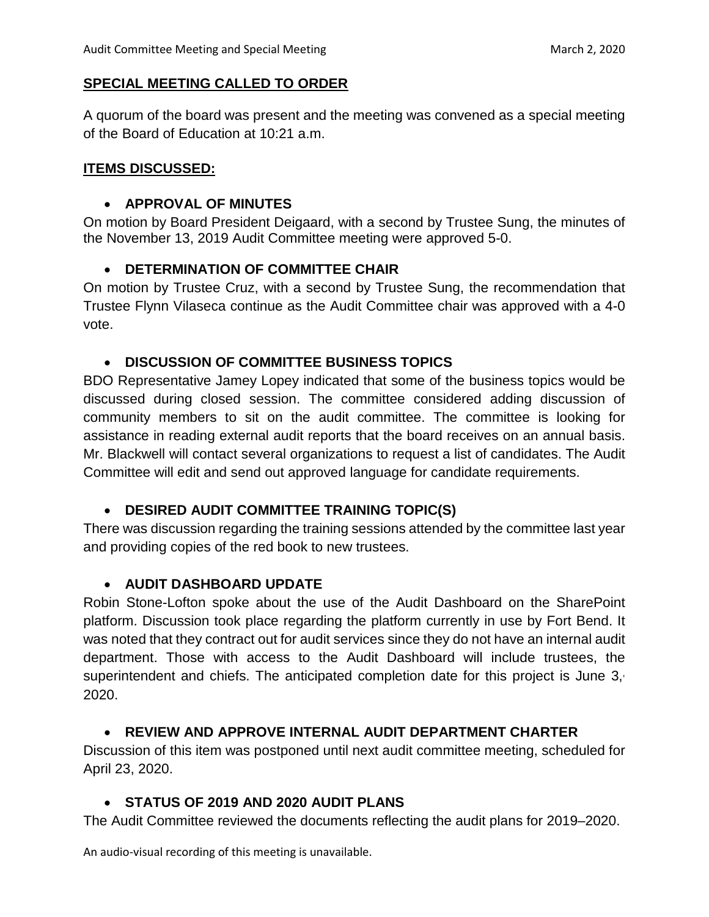### **SPECIAL MEETING CALLED TO ORDER**

A quorum of the board was present and the meeting was convened as a special meeting of the Board of Education at 10:21 a.m.

#### **ITEMS DISCUSSED:**

#### • **APPROVAL OF MINUTES**

On motion by Board President Deigaard, with a second by Trustee Sung, the minutes of the November 13, 2019 Audit Committee meeting were approved 5-0.

### • **DETERMINATION OF COMMITTEE CHAIR**

On motion by Trustee Cruz, with a second by Trustee Sung, the recommendation that Trustee Flynn Vilaseca continue as the Audit Committee chair was approved with a 4-0 vote.

### • **DISCUSSION OF COMMITTEE BUSINESS TOPICS**

BDO Representative Jamey Lopey indicated that some of the business topics would be discussed during closed session. The committee considered adding discussion of community members to sit on the audit committee. The committee is looking for assistance in reading external audit reports that the board receives on an annual basis. Mr. Blackwell will contact several organizations to request a list of candidates. The Audit Committee will edit and send out approved language for candidate requirements.

### • **DESIRED AUDIT COMMITTEE TRAINING TOPIC(S)**

There was discussion regarding the training sessions attended by the committee last year and providing copies of the red book to new trustees.

### • **AUDIT DASHBOARD UPDATE**

Robin Stone-Lofton spoke about the use of the Audit Dashboard on the SharePoint platform. Discussion took place regarding the platform currently in use by Fort Bend. It was noted that they contract out for audit services since they do not have an internal audit department. Those with access to the Audit Dashboard will include trustees, the superintendent and chiefs. The anticipated completion date for this project is June 3, 2020.

### • **REVIEW AND APPROVE INTERNAL AUDIT DEPARTMENT CHARTER**

Discussion of this item was postponed until next audit committee meeting, scheduled for April 23, 2020.

## • **STATUS OF 2019 AND 2020 AUDIT PLANS**

The Audit Committee reviewed the documents reflecting the audit plans for 2019–2020.

An audio-visual recording of this meeting is unavailable.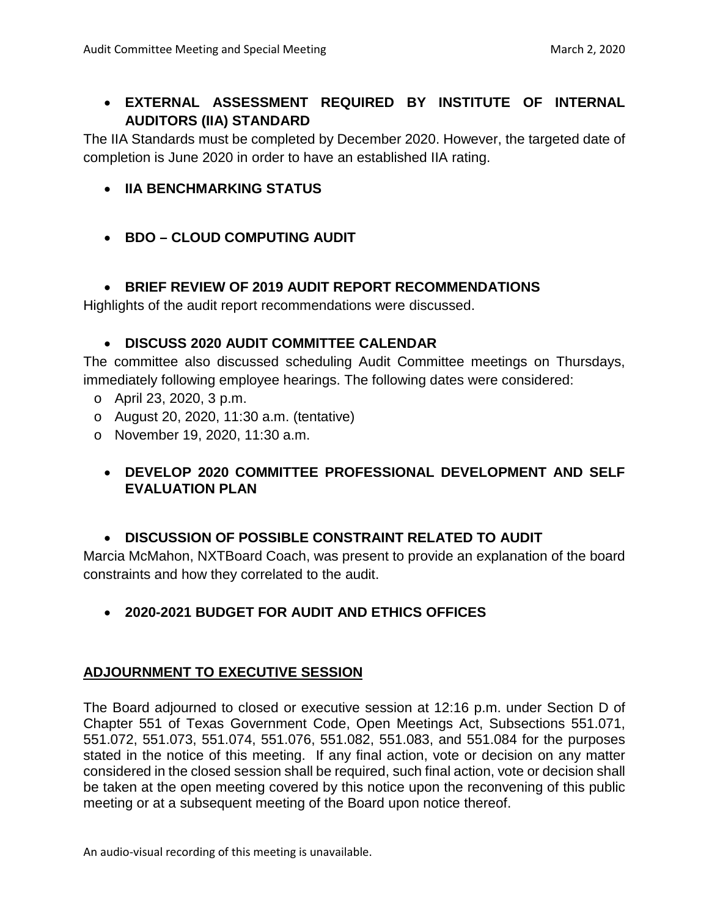# • **EXTERNAL ASSESSMENT REQUIRED BY INSTITUTE OF INTERNAL AUDITORS (IIA) STANDARD**

The IIA Standards must be completed by December 2020. However, the targeted date of completion is June 2020 in order to have an established IIA rating.

- **IIA BENCHMARKING STATUS**
- **BDO – CLOUD COMPUTING AUDIT**

# • **BRIEF REVIEW OF 2019 AUDIT REPORT RECOMMENDATIONS**

Highlights of the audit report recommendations were discussed.

## • **DISCUSS 2020 AUDIT COMMITTEE CALENDAR**

The committee also discussed scheduling Audit Committee meetings on Thursdays, immediately following employee hearings. The following dates were considered:

- o April 23, 2020, 3 p.m.
- o August 20, 2020, 11:30 a.m. (tentative)
- o November 19, 2020, 11:30 a.m.

# • **DEVELOP 2020 COMMITTEE PROFESSIONAL DEVELOPMENT AND SELF EVALUATION PLAN**

## • **DISCUSSION OF POSSIBLE CONSTRAINT RELATED TO AUDIT**

Marcia McMahon, NXTBoard Coach, was present to provide an explanation of the board constraints and how they correlated to the audit.

• **2020-2021 BUDGET FOR AUDIT AND ETHICS OFFICES**

# **ADJOURNMENT TO EXECUTIVE SESSION**

The Board adjourned to closed or executive session at 12:16 p.m. under Section D of Chapter 551 of Texas Government Code, Open Meetings Act, Subsections 551.071, 551.072, 551.073, 551.074, 551.076, 551.082, 551.083, and 551.084 for the purposes stated in the notice of this meeting. If any final action, vote or decision on any matter considered in the closed session shall be required, such final action, vote or decision shall be taken at the open meeting covered by this notice upon the reconvening of this public meeting or at a subsequent meeting of the Board upon notice thereof.

An audio-visual recording of this meeting is unavailable.